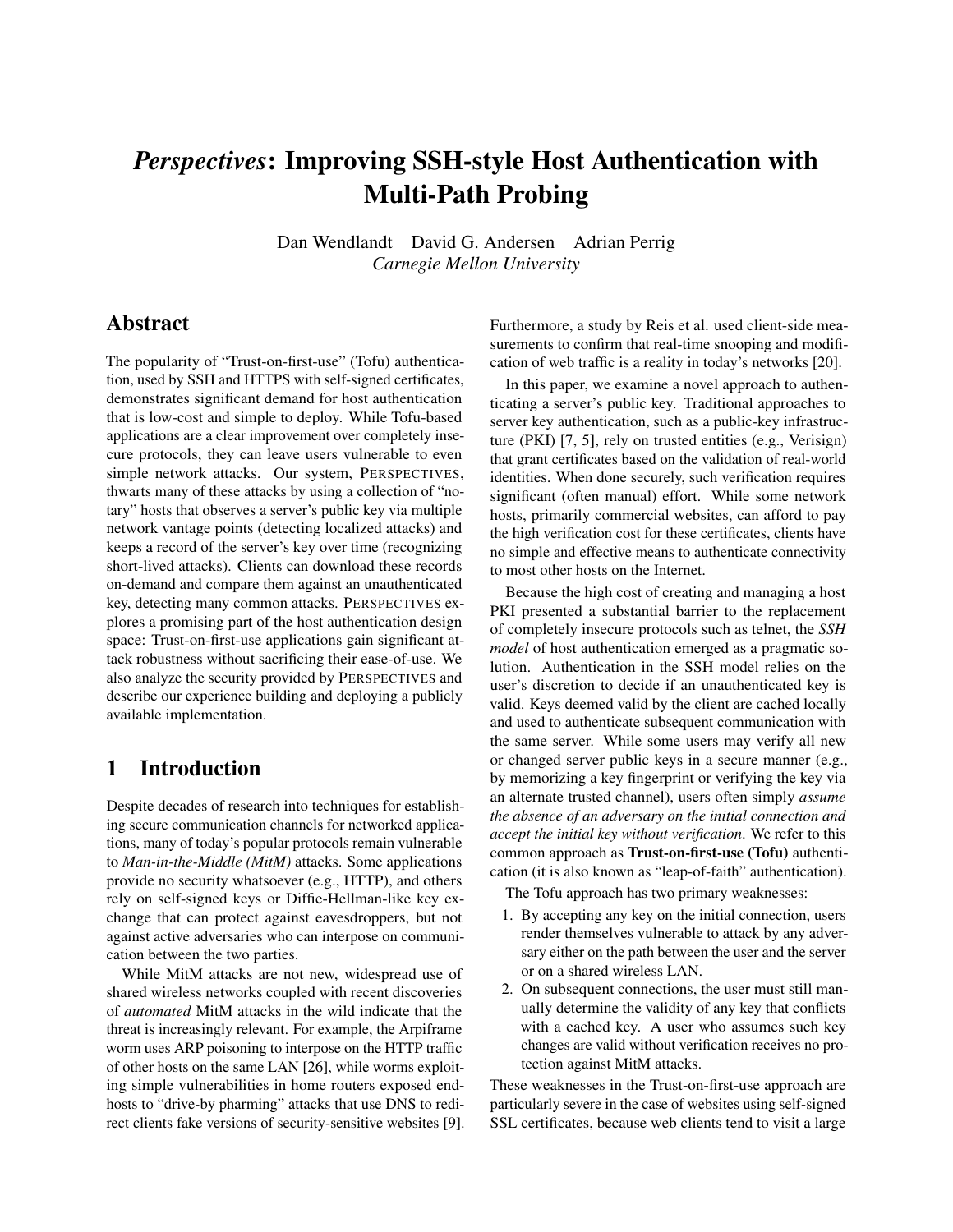# *Perspectives*: Improving SSH-style Host Authentication with Multi-Path Probing

Dan Wendlandt David G. Andersen Adrian Perrig *Carnegie Mellon University*

# Abstract

The popularity of "Trust-on-first-use" (Tofu) authentication, used by SSH and HTTPS with self-signed certificates, demonstrates significant demand for host authentication that is low-cost and simple to deploy. While Tofu-based applications are a clear improvement over completely insecure protocols, they can leave users vulnerable to even simple network attacks. Our system, PERSPECTIVES, thwarts many of these attacks by using a collection of "notary" hosts that observes a server's public key via multiple network vantage points (detecting localized attacks) and keeps a record of the server's key over time (recognizing short-lived attacks). Clients can download these records on-demand and compare them against an unauthenticated key, detecting many common attacks. PERSPECTIVES explores a promising part of the host authentication design space: Trust-on-first-use applications gain significant attack robustness without sacrificing their ease-of-use. We also analyze the security provided by PERSPECTIVES and describe our experience building and deploying a publicly available implementation.

# 1 Introduction

Despite decades of research into techniques for establishing secure communication channels for networked applications, many of today's popular protocols remain vulnerable to *Man-in-the-Middle (MitM)* attacks. Some applications provide no security whatsoever (e.g., HTTP), and others rely on self-signed keys or Diffie-Hellman-like key exchange that can protect against eavesdroppers, but not against active adversaries who can interpose on communication between the two parties.

While MitM attacks are not new, widespread use of shared wireless networks coupled with recent discoveries of *automated* MitM attacks in the wild indicate that the threat is increasingly relevant. For example, the Arpiframe worm uses ARP poisoning to interpose on the HTTP traffic of other hosts on the same LAN [[26](#page-13-0)], while worms exploiting simple vulnerabilities in home routers exposed endhosts to "drive-by pharming" attacks that use DNS to redirect clients fake versions of security-sensitive websites [[9](#page-13-1)]. Furthermore, a study by Reis et al. used client-side measurements to confirm that real-time snooping and modification of web traffic is a reality in today's networks [\[20\]](#page-13-2).

In this paper, we examine a novel approach to authenticating a server's public key. Traditional approaches to server key authentication, such as a public-key infrastructure (PKI) [[7](#page-13-3), [5](#page-13-4)], rely on trusted entities (e.g., Verisign) that grant certificates based on the validation of real-world identities. When done securely, such verification requires significant (often manual) effort. While some network hosts, primarily commercial websites, can afford to pay the high verification cost for these certificates, clients have no simple and effective means to authenticate connectivity to most other hosts on the Internet.

Because the high cost of creating and managing a host PKI presented a substantial barrier to the replacement of completely insecure protocols such as telnet, the *SSH model* of host authentication emerged as a pragmatic solution. Authentication in the SSH model relies on the user's discretion to decide if an unauthenticated key is valid. Keys deemed valid by the client are cached locally and used to authenticate subsequent communication with the same server. While some users may verify all new or changed server public keys in a secure manner (e.g., by memorizing a key fingerprint or verifying the key via an alternate trusted channel), users often simply *assume the absence of an adversary on the initial connection and accept the initial key without verification*. We refer to this common approach as Trust-on-first-use (Tofu) authentication (it is also known as "leap-of-faith" authentication).

The Tofu approach has two primary weaknesses:

- 1. By accepting any key on the initial connection, users render themselves vulnerable to attack by any adversary either on the path between the user and the server or on a shared wireless LAN.
- 2. On subsequent connections, the user must still manually determine the validity of any key that conflicts with a cached key. A user who assumes such key changes are valid without verification receives no protection against MitM attacks.

These weaknesses in the Trust-on-first-use approach are particularly severe in the case of websites using self-signed SSL certificates, because web clients tend to visit a large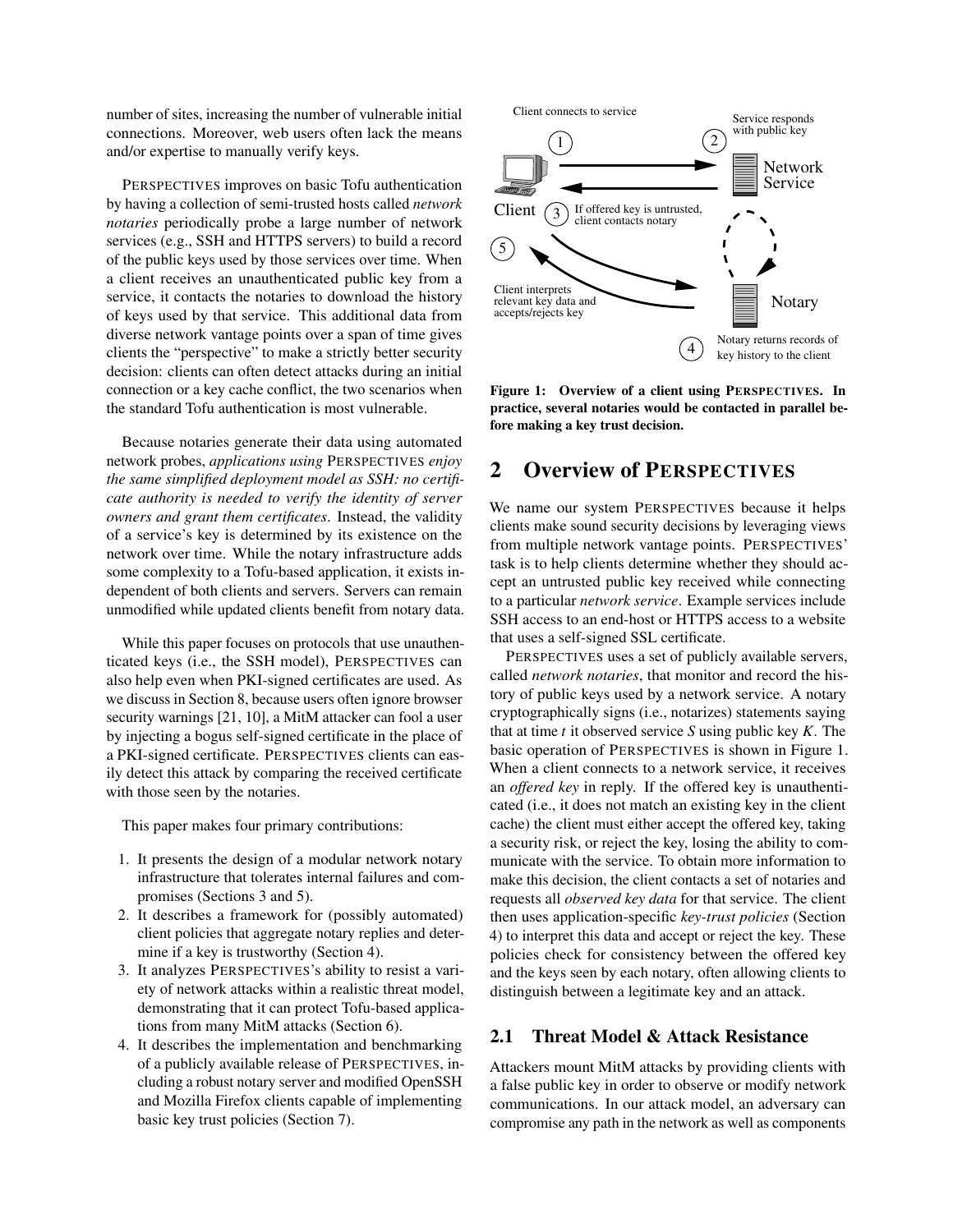number of sites, increasing the number of vulnerable initial connections. Moreover, web users often lack the means and/or expertise to manually verify keys.

PERSPECTIVES improves on basic Tofu authentication by having a collection of semi-trusted hosts called *network notaries* periodically probe a large number of network services (e.g., SSH and HTTPS servers) to build a record of the public keys used by those services over time. When a client receives an unauthenticated public key from a service, it contacts the notaries to download the history of keys used by that service. This additional data from diverse network vantage points over a span of time gives clients the "perspective" to make a strictly better security decision: clients can often detect attacks during an initial connection or a key cache conflict, the two scenarios when the standard Tofu authentication is most vulnerable.

Because notaries generate their data using automated network probes, *applications using* PERSPECTIVES *enjoy the same simplified deployment model as SSH: no certificate authority is needed to verify the identity of server owners and grant them certificates*. Instead, the validity of a service's key is determined by its existence on the network over time. While the notary infrastructure adds some complexity to a Tofu-based application, it exists independent of both clients and servers. Servers can remain unmodified while updated clients benefit from notary data.

While this paper focuses on protocols that use unauthenticated keys (i.e., the SSH model), PERSPECTIVES can also help even when PKI-signed certificates are used. As we discuss in Section [8,](#page-10-0) because users often ignore browser security warnings [[21](#page-13-5), [10](#page-13-6)], a MitM attacker can fool a user by injecting a bogus self-signed certificate in the place of a PKI-signed certificate. PERSPECTIVES clients can easily detect this attack by comparing the received certificate with those seen by the notaries.

This paper makes four primary contributions:

- 1. It presents the design of a modular network notary infrastructure that tolerates internal failures and compromises (Sections [3](#page-2-0) and [5\)](#page-5-0).
- 2. It describes a framework for (possibly automated) client policies that aggregate notary replies and determine if a key is trustworthy (Section [4\)](#page-4-0).
- 3. It analyzes PERSPECTIVES's ability to resist a variety of network attacks within a realistic threat model, demonstrating that it can protect Tofu-based applications from many MitM attacks (Section [6\)](#page-6-0).
- 4. It describes the implementation and benchmarking of a publicly available release of PERSPECTIVES, including a robust notary server and modified OpenSSH and Mozilla Firefox clients capable of implementing basic key trust policies (Section [7\)](#page-8-0).



<span id="page-1-0"></span>Figure 1: Overview of a client using PERSPECTIVES. In practice, several notaries would be contacted in parallel before making a key trust decision.

# 2 Overview of PERSPECTIVES

We name our system PERSPECTIVES because it helps clients make sound security decisions by leveraging views from multiple network vantage points. PERSPECTIVES' task is to help clients determine whether they should accept an untrusted public key received while connecting to a particular *network service*. Example services include SSH access to an end-host or HTTPS access to a website that uses a self-signed SSL certificate.

PERSPECTIVES uses a set of publicly available servers, called *network notaries*, that monitor and record the history of public keys used by a network service. A notary cryptographically signs (i.e., notarizes) statements saying that at time *t* it observed service *S* using public key *K*. The basic operation of PERSPECTIVES is shown in Figure [1.](#page-1-0) When a client connects to a network service, it receives an *offered key* in reply. If the offered key is unauthenticated (i.e., it does not match an existing key in the client cache) the client must either accept the offered key, taking a security risk, or reject the key, losing the ability to communicate with the service. To obtain more information to make this decision, the client contacts a set of notaries and requests all *observed key data* for that service. The client then uses application-specific *key-trust policies* (Section [4\)](#page-4-0) to interpret this data and accept or reject the key. These policies check for consistency between the offered key and the keys seen by each notary, often allowing clients to distinguish between a legitimate key and an attack.

# 2.1 Threat Model & Attack Resistance

Attackers mount MitM attacks by providing clients with a false public key in order to observe or modify network communications. In our attack model, an adversary can compromise any path in the network as well as components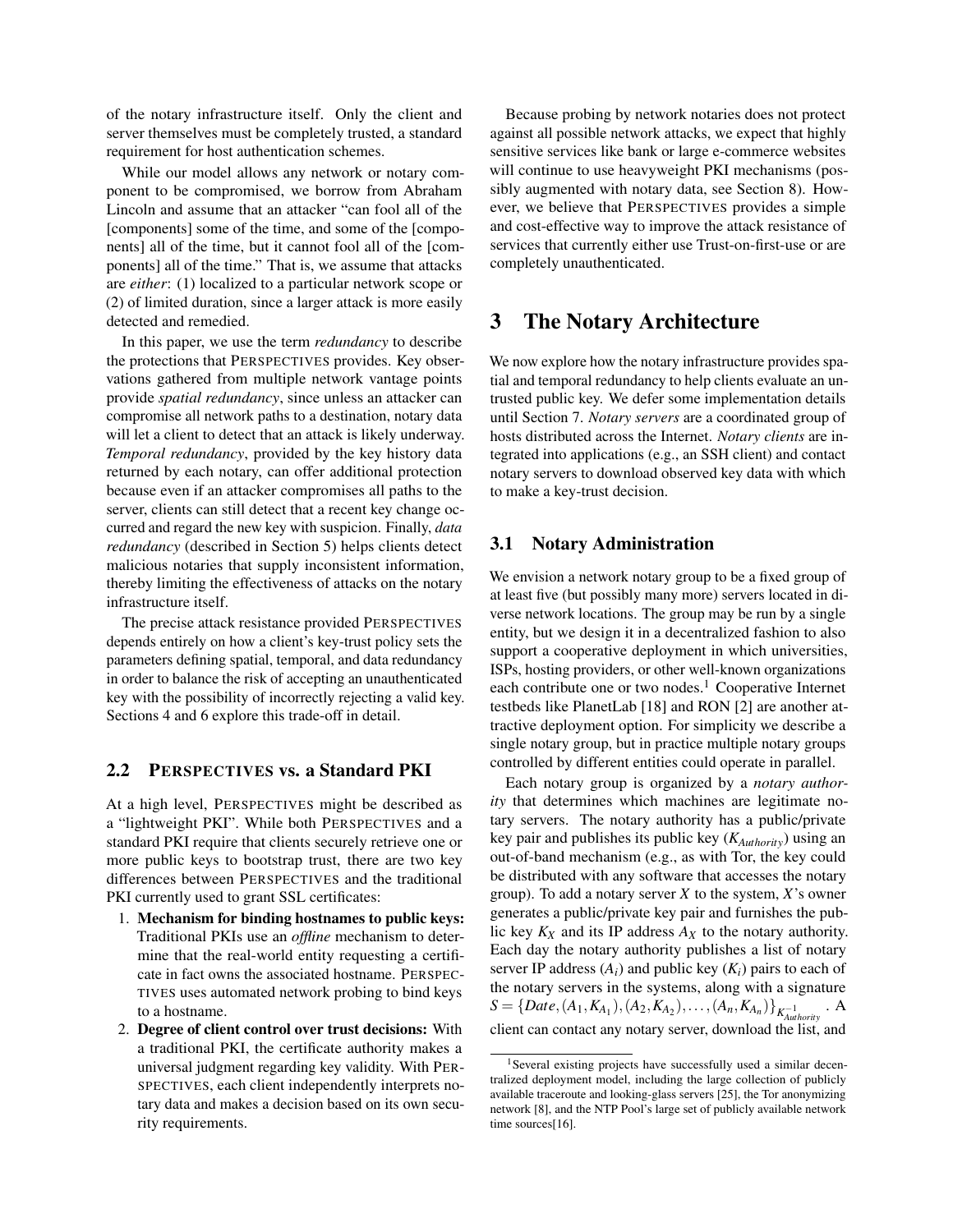of the notary infrastructure itself. Only the client and server themselves must be completely trusted, a standard requirement for host authentication schemes.

While our model allows any network or notary component to be compromised, we borrow from Abraham Lincoln and assume that an attacker "can fool all of the [components] some of the time, and some of the [components] all of the time, but it cannot fool all of the [components] all of the time." That is, we assume that attacks are *either*: (1) localized to a particular network scope or (2) of limited duration, since a larger attack is more easily detected and remedied.

In this paper, we use the term *redundancy* to describe the protections that PERSPECTIVES provides. Key observations gathered from multiple network vantage points provide *spatial redundancy*, since unless an attacker can compromise all network paths to a destination, notary data will let a client to detect that an attack is likely underway. *Temporal redundancy*, provided by the key history data returned by each notary, can offer additional protection because even if an attacker compromises all paths to the server, clients can still detect that a recent key change occurred and regard the new key with suspicion. Finally, *data redundancy* (described in Section [5\)](#page-5-0) helps clients detect malicious notaries that supply inconsistent information, thereby limiting the effectiveness of attacks on the notary infrastructure itself.

The precise attack resistance provided PERSPECTIVES depends entirely on how a client's key-trust policy sets the parameters defining spatial, temporal, and data redundancy in order to balance the risk of accepting an unauthenticated key with the possibility of incorrectly rejecting a valid key. Sections [4](#page-4-0) and [6](#page-6-0) explore this trade-off in detail.

# 2.2 PERSPECTIVES vs. a Standard PKI

At a high level, PERSPECTIVES might be described as a "lightweight PKI". While both PERSPECTIVES and a standard PKI require that clients securely retrieve one or more public keys to bootstrap trust, there are two key differences between PERSPECTIVES and the traditional PKI currently used to grant SSL certificates:

- 1. Mechanism for binding hostnames to public keys: Traditional PKIs use an *offline* mechanism to determine that the real-world entity requesting a certificate in fact owns the associated hostname. PERSPEC-TIVES uses automated network probing to bind keys to a hostname.
- 2. Degree of client control over trust decisions: With a traditional PKI, the certificate authority makes a universal judgment regarding key validity. With PER-SPECTIVES, each client independently interprets notary data and makes a decision based on its own security requirements.

Because probing by network notaries does not protect against all possible network attacks, we expect that highly sensitive services like bank or large e-commerce websites will continue to use heavyweight PKI mechanisms (possibly augmented with notary data, see Section [8\)](#page-10-0). However, we believe that PERSPECTIVES provides a simple and cost-effective way to improve the attack resistance of services that currently either use Trust-on-first-use or are completely unauthenticated.

# <span id="page-2-0"></span>3 The Notary Architecture

We now explore how the notary infrastructure provides spatial and temporal redundancy to help clients evaluate an untrusted public key. We defer some implementation details until Section [7.](#page-8-0) *Notary servers* are a coordinated group of hosts distributed across the Internet. *Notary clients* are integrated into applications (e.g., an SSH client) and contact notary servers to download observed key data with which to make a key-trust decision.

### 3.1 Notary Administration

We envision a network notary group to be a fixed group of at least five (but possibly many more) servers located in diverse network locations. The group may be run by a single entity, but we design it in a decentralized fashion to also support a cooperative deployment in which universities, ISPs, hosting providers, or other well-known organizations each contribute one or two nodes.<sup>[1](#page-2-1)</sup> Cooperative Internet testbeds like PlanetLab [[18](#page-13-7)] and RON [[2](#page-13-8)] are another attractive deployment option. For simplicity we describe a single notary group, but in practice multiple notary groups controlled by different entities could operate in parallel.

Each notary group is organized by a *notary authority* that determines which machines are legitimate notary servers. The notary authority has a public/private key pair and publishes its public key (*KAuthority*) using an out-of-band mechanism (e.g., as with Tor, the key could be distributed with any software that accesses the notary group). To add a notary server *X* to the system, *X*'s owner generates a public/private key pair and furnishes the public key  $K_X$  and its IP address  $A_X$  to the notary authority. Each day the notary authority publishes a list of notary server IP address  $(A_i)$  and public key  $(K_i)$  pairs to each of the notary servers in the systems, along with a signature  $S = \{Date, (A_1, K_{A_1}), (A_2, K_{A_2}), \ldots, (A_n, K_{A_n})\}_{K_{Authority}^{-1}}$ . A client can contact any notary server, download the list, and

<span id="page-2-1"></span><sup>&</sup>lt;sup>1</sup>Several existing projects have successfully used a similar decentralized deployment model, including the large collection of publicly available traceroute and looking-glass servers [[25](#page-13-9)], the Tor anonymizing network [[8](#page-13-10)], and the NTP Pool's large set of publicly available network time sources[\[16\]](#page-13-11).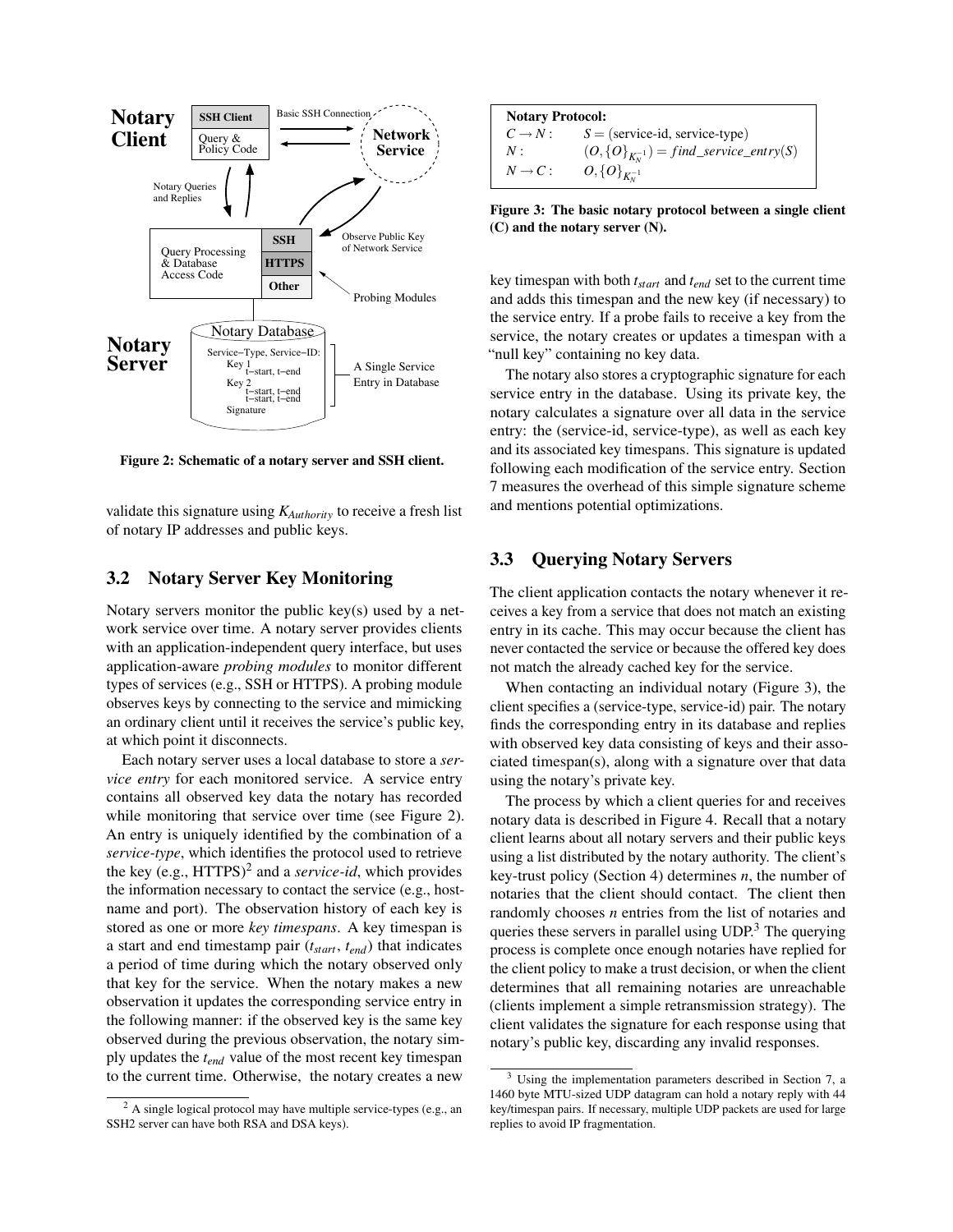

<span id="page-3-0"></span>Figure 2: Schematic of a notary server and SSH client.

validate this signature using *KAuthority* to receive a fresh list of notary IP addresses and public keys.

### 3.2 Notary Server Key Monitoring

Notary servers monitor the public key(s) used by a network service over time. A notary server provides clients with an application-independent query interface, but uses application-aware *probing modules* to monitor different types of services (e.g., SSH or HTTPS). A probing module observes keys by connecting to the service and mimicking an ordinary client until it receives the service's public key, at which point it disconnects.

Each notary server uses a local database to store a *service entry* for each monitored service. A service entry contains all observed key data the notary has recorded while monitoring that service over time (see Figure [2\)](#page-3-0). An entry is uniquely identified by the combination of a *service-type*, which identifies the protocol used to retrieve the key (e.g., HTTPS)<sup>[2](#page-3-1)</sup> and a *service-id*, which provides the information necessary to contact the service (e.g., hostname and port). The observation history of each key is stored as one or more *key timespans*. A key timespan is a start and end timestamp pair (*tstart*, *tend*) that indicates a period of time during which the notary observed only that key for the service. When the notary makes a new observation it updates the corresponding service entry in the following manner: if the observed key is the same key observed during the previous observation, the notary simply updates the *tend* value of the most recent key timespan to the current time. Otherwise, the notary creates a new

| <b>Notary Protocol:</b> |                                                       |  |  |  |
|-------------------------|-------------------------------------------------------|--|--|--|
|                         | $C \rightarrow N$ : $S = ($ service-id, service-type) |  |  |  |
| N:                      | $(O, {O}_{K_v^{-1}}) = find\_service\_entry(S)$       |  |  |  |
| $N \rightarrow C$ :     | $O, \{O\}_{K_{\rm M}^{-1}}$                           |  |  |  |

<span id="page-3-2"></span>Figure 3: The basic notary protocol between a single client (C) and the notary server (N).

key timespan with both *tstart* and *tend* set to the current time and adds this timespan and the new key (if necessary) to the service entry. If a probe fails to receive a key from the service, the notary creates or updates a timespan with a "null key" containing no key data.

The notary also stores a cryptographic signature for each service entry in the database. Using its private key, the notary calculates a signature over all data in the service entry: the (service-id, service-type), as well as each key and its associated key timespans. This signature is updated following each modification of the service entry. Section [7](#page-8-0) measures the overhead of this simple signature scheme and mentions potential optimizations.

### 3.3 Querying Notary Servers

The client application contacts the notary whenever it receives a key from a service that does not match an existing entry in its cache. This may occur because the client has never contacted the service or because the offered key does not match the already cached key for the service.

When contacting an individual notary (Figure [3\)](#page-3-2), the client specifies a (service-type, service-id) pair. The notary finds the corresponding entry in its database and replies with observed key data consisting of keys and their associated timespan(s), along with a signature over that data using the notary's private key.

The process by which a client queries for and receives notary data is described in Figure [4.](#page-4-1) Recall that a notary client learns about all notary servers and their public keys using a list distributed by the notary authority. The client's key-trust policy (Section [4\)](#page-4-0) determines *n*, the number of notaries that the client should contact. The client then randomly chooses *n* entries from the list of notaries and queries these servers in parallel using  $\text{UDP}^3$  $\text{UDP}^3$ . The querying process is complete once enough notaries have replied for the client policy to make a trust decision, or when the client determines that all remaining notaries are unreachable (clients implement a simple retransmission strategy). The client validates the signature for each response using that notary's public key, discarding any invalid responses.

<span id="page-3-1"></span> $2A$  single logical protocol may have multiple service-types (e.g., an SSH2 server can have both RSA and DSA keys).

<span id="page-3-3"></span>Using the implementation parameters described in Section [7,](#page-8-0) a 1460 byte MTU-sized UDP datagram can hold a notary reply with 44 key/timespan pairs. If necessary, multiple UDP packets are used for large replies to avoid IP fragmentation.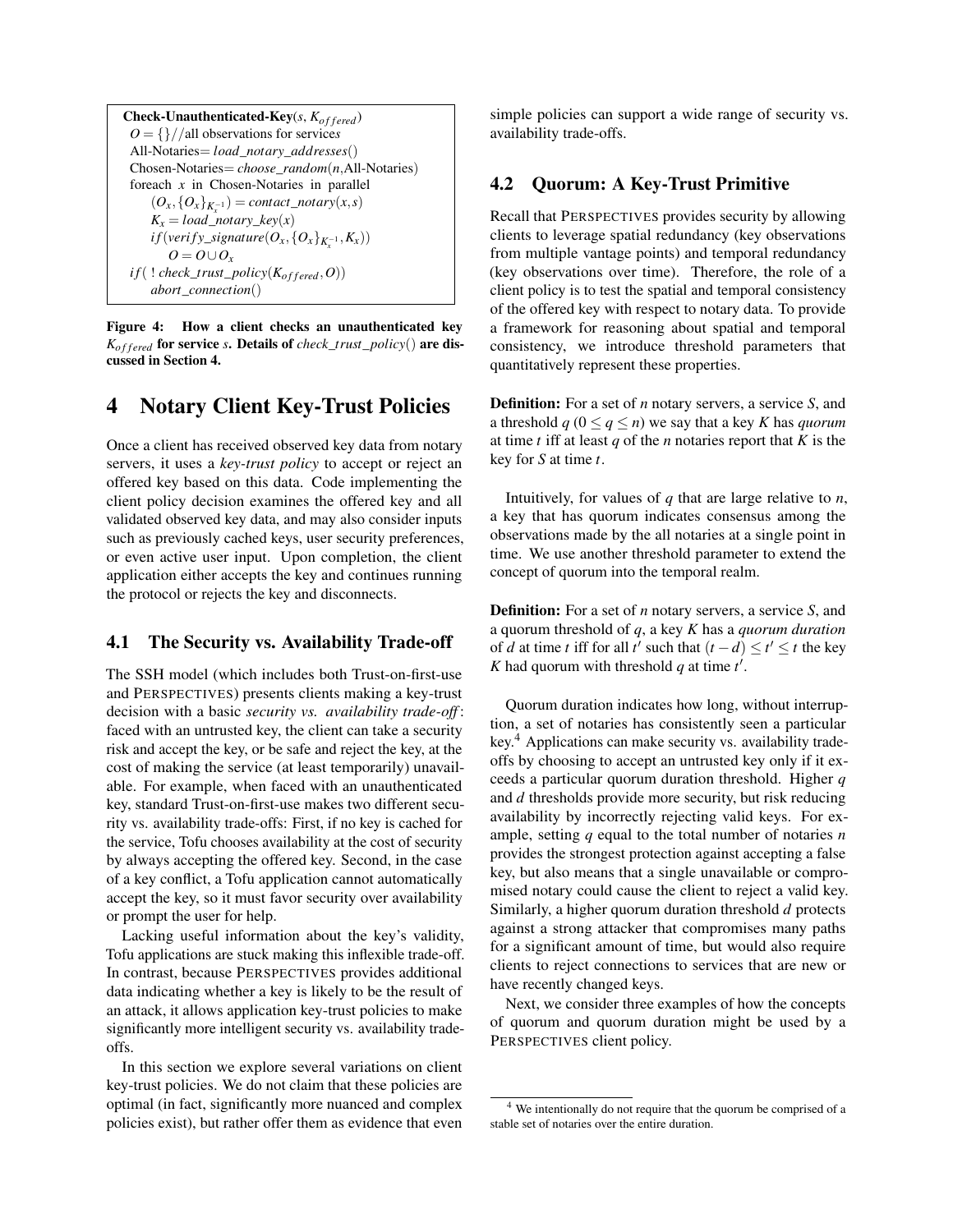Check-Unauthenticated-Key(s,  $K_{offered}$ ) *O* = {}//all observations for service*s* All-Notaries= *load*\_*notary*\_*addresses*() Chosen-Notaries= *choose*\_*random*(*n*,All-Notaries) foreach *x* in Chosen-Notaries in parallel  $(O_x, \{O_x\}_{K_x^{-1}}) = \text{contact\_notary}(x, s)$  $K_x = load\_notary\_key(x)$  $if(verify\_signature(O_x, {O_x}_{K_x^{-1}}, K_x))$  $O = O \cup O_x$  $if($  ! *check\_trust\_policy*( $K_{offered}, O$ )) *abort*\_*connection*()

<span id="page-4-1"></span>Figure 4: How a client checks an unauthenticated key *K*<sub>of fered</sub> for service *s*. Details of *check\_trust\_policy*() are discussed in Section [4.](#page-4-0)

# <span id="page-4-0"></span>4 Notary Client Key-Trust Policies

Once a client has received observed key data from notary servers, it uses a *key-trust policy* to accept or reject an offered key based on this data. Code implementing the client policy decision examines the offered key and all validated observed key data, and may also consider inputs such as previously cached keys, user security preferences, or even active user input. Upon completion, the client application either accepts the key and continues running the protocol or rejects the key and disconnects.

### 4.1 The Security vs. Availability Trade-off

The SSH model (which includes both Trust-on-first-use and PERSPECTIVES) presents clients making a key-trust decision with a basic *security vs. availability trade-off* : faced with an untrusted key, the client can take a security risk and accept the key, or be safe and reject the key, at the cost of making the service (at least temporarily) unavailable. For example, when faced with an unauthenticated key, standard Trust-on-first-use makes two different security vs. availability trade-offs: First, if no key is cached for the service, Tofu chooses availability at the cost of security by always accepting the offered key. Second, in the case of a key conflict, a Tofu application cannot automatically accept the key, so it must favor security over availability or prompt the user for help.

Lacking useful information about the key's validity, Tofu applications are stuck making this inflexible trade-off. In contrast, because PERSPECTIVES provides additional data indicating whether a key is likely to be the result of an attack, it allows application key-trust policies to make significantly more intelligent security vs. availability tradeoffs.

In this section we explore several variations on client key-trust policies. We do not claim that these policies are optimal (in fact, significantly more nuanced and complex policies exist), but rather offer them as evidence that even simple policies can support a wide range of security vs. availability trade-offs.

# 4.2 Quorum: A Key-Trust Primitive

Recall that PERSPECTIVES provides security by allowing clients to leverage spatial redundancy (key observations from multiple vantage points) and temporal redundancy (key observations over time). Therefore, the role of a client policy is to test the spatial and temporal consistency of the offered key with respect to notary data. To provide a framework for reasoning about spatial and temporal consistency, we introduce threshold parameters that quantitatively represent these properties.

Definition: For a set of *n* notary servers, a service *S*, and a threshold  $q$  ( $0 \leq q \leq n$ ) we say that a key *K* has *quorum* at time *t* iff at least *q* of the *n* notaries report that *K* is the key for *S* at time *t*.

Intuitively, for values of *q* that are large relative to *n*, a key that has quorum indicates consensus among the observations made by the all notaries at a single point in time. We use another threshold parameter to extend the concept of quorum into the temporal realm.

Definition: For a set of *n* notary servers, a service *S*, and a quorum threshold of *q*, a key *K* has a *quorum duration* of *d* at time *t* iff for all *t'* such that  $(t - d) \le t' \le t$  the key *K* had quorum with threshold  $q$  at time  $t'$ .

Quorum duration indicates how long, without interruption, a set of notaries has consistently seen a particular key.<sup>[4](#page-4-2)</sup> Applications can make security vs. availability tradeoffs by choosing to accept an untrusted key only if it exceeds a particular quorum duration threshold. Higher *q* and *d* thresholds provide more security, but risk reducing availability by incorrectly rejecting valid keys. For example, setting *q* equal to the total number of notaries *n* provides the strongest protection against accepting a false key, but also means that a single unavailable or compromised notary could cause the client to reject a valid key. Similarly, a higher quorum duration threshold *d* protects against a strong attacker that compromises many paths for a significant amount of time, but would also require clients to reject connections to services that are new or have recently changed keys.

Next, we consider three examples of how the concepts of quorum and quorum duration might be used by a PERSPECTIVES client policy.

<span id="page-4-2"></span><sup>&</sup>lt;sup>4</sup> We intentionally do not require that the quorum be comprised of a stable set of notaries over the entire duration.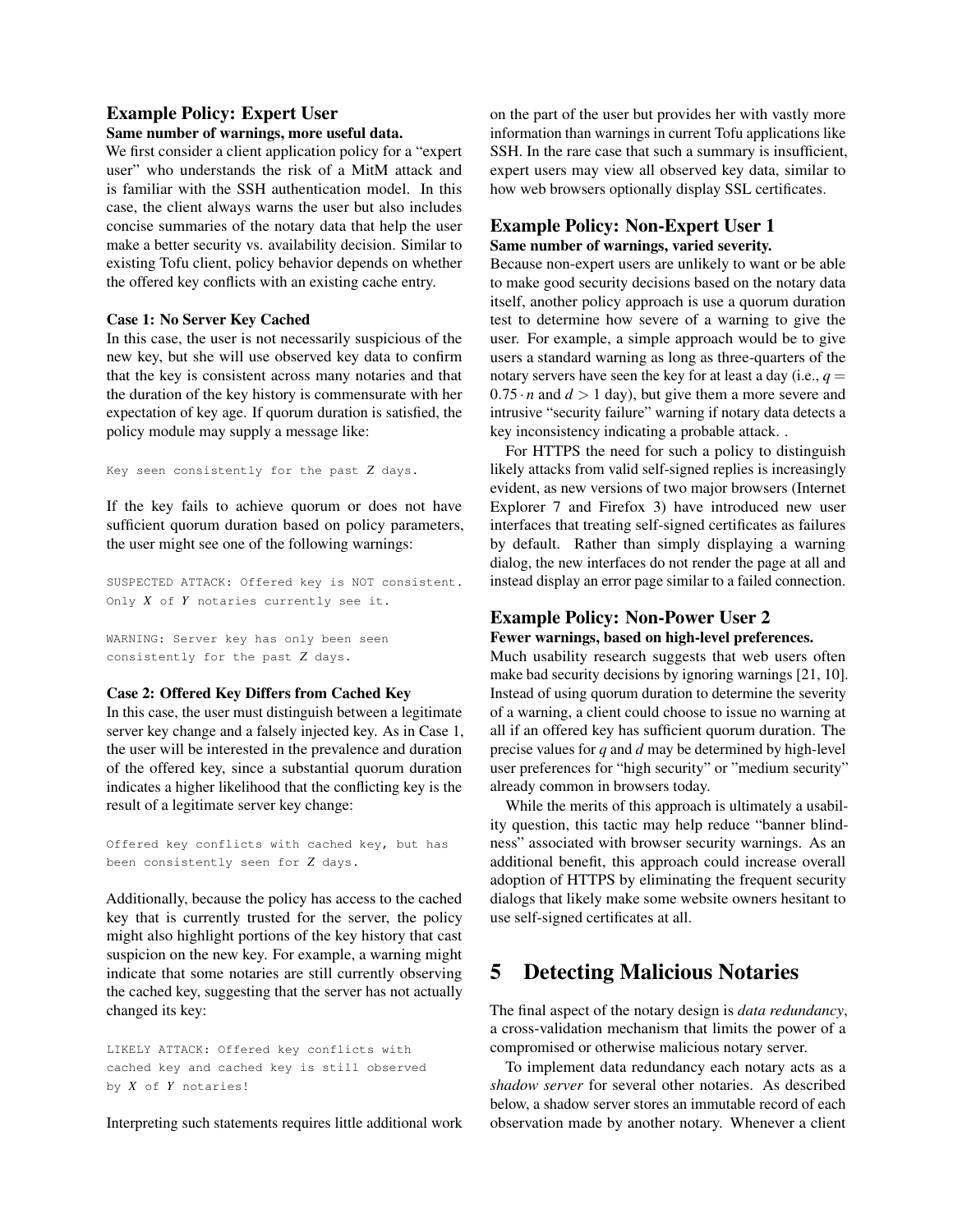### Example Policy: Expert User

### Same number of warnings, more useful data.

We first consider a client application policy for a "expert user" who understands the risk of a MitM attack and is familiar with the SSH authentication model. In this case, the client always warns the user but also includes concise summaries of the notary data that help the user make a better security vs. availability decision. Similar to existing Tofu client, policy behavior depends on whether the offered key conflicts with an existing cache entry.

#### Case 1: No Server Key Cached

In this case, the user is not necessarily suspicious of the new key, but she will use observed key data to confirm that the key is consistent across many notaries and that the duration of the key history is commensurate with her expectation of key age. If quorum duration is satisfied, the policy module may supply a message like:

Key seen consistently for the past *Z* days.

If the key fails to achieve quorum or does not have sufficient quorum duration based on policy parameters, the user might see one of the following warnings:

SUSPECTED ATTACK: Offered key is NOT consistent. Only *X* of *Y* notaries currently see it.

WARNING: Server key has only been seen consistently for the past *Z* days.

#### Case 2: Offered Key Differs from Cached Key

In this case, the user must distinguish between a legitimate server key change and a falsely injected key. As in Case 1, the user will be interested in the prevalence and duration of the offered key, since a substantial quorum duration indicates a higher likelihood that the conflicting key is the result of a legitimate server key change:

Offered key conflicts with cached key, but has been consistently seen for *Z* days.

Additionally, because the policy has access to the cached key that is currently trusted for the server, the policy might also highlight portions of the key history that cast suspicion on the new key. For example, a warning might indicate that some notaries are still currently observing the cached key, suggesting that the server has not actually changed its key:

LIKELY ATTACK: Offered key conflicts with cached key and cached key is still observed by *X* of *Y* notaries!

Interpreting such statements requires little additional work

on the part of the user but provides her with vastly more information than warnings in current Tofu applications like SSH. In the rare case that such a summary is insufficient, expert users may view all observed key data, similar to how web browsers optionally display SSL certificates.

### Example Policy: Non-Expert User 1 Same number of warnings, varied severity.

Because non-expert users are unlikely to want or be able to make good security decisions based on the notary data itself, another policy approach is use a quorum duration test to determine how severe of a warning to give the user. For example, a simple approach would be to give users a standard warning as long as three-quarters of the notary servers have seen the key for at least a day (i.e.,  $q =$  $0.75 \cdot n$  and  $d > 1$  day), but give them a more severe and intrusive "security failure" warning if notary data detects a key inconsistency indicating a probable attack. .

For HTTPS the need for such a policy to distinguish likely attacks from valid self-signed replies is increasingly evident, as new versions of two major browsers (Internet Explorer 7 and Firefox 3) have introduced new user interfaces that treating self-signed certificates as failures by default. Rather than simply displaying a warning dialog, the new interfaces do not render the page at all and instead display an error page similar to a failed connection.

# Example Policy: Non-Power User 2 Fewer warnings, based on high-level preferences.

Much usability research suggests that web users often make bad security decisions by ignoring warnings [[21](#page-13-5), [10](#page-13-6)]. Instead of using quorum duration to determine the severity of a warning, a client could choose to issue no warning at all if an offered key has sufficient quorum duration. The precise values for *q* and *d* may be determined by high-level user preferences for "high security" or "medium security" already common in browsers today.

While the merits of this approach is ultimately a usability question, this tactic may help reduce "banner blindness" associated with browser security warnings. As an additional benefit, this approach could increase overall adoption of HTTPS by eliminating the frequent security dialogs that likely make some website owners hesitant to use self-signed certificates at all.

# <span id="page-5-0"></span>5 Detecting Malicious Notaries

The final aspect of the notary design is *data redundancy*, a cross-validation mechanism that limits the power of a compromised or otherwise malicious notary server.

To implement data redundancy each notary acts as a *shadow server* for several other notaries. As described below, a shadow server stores an immutable record of each observation made by another notary. Whenever a client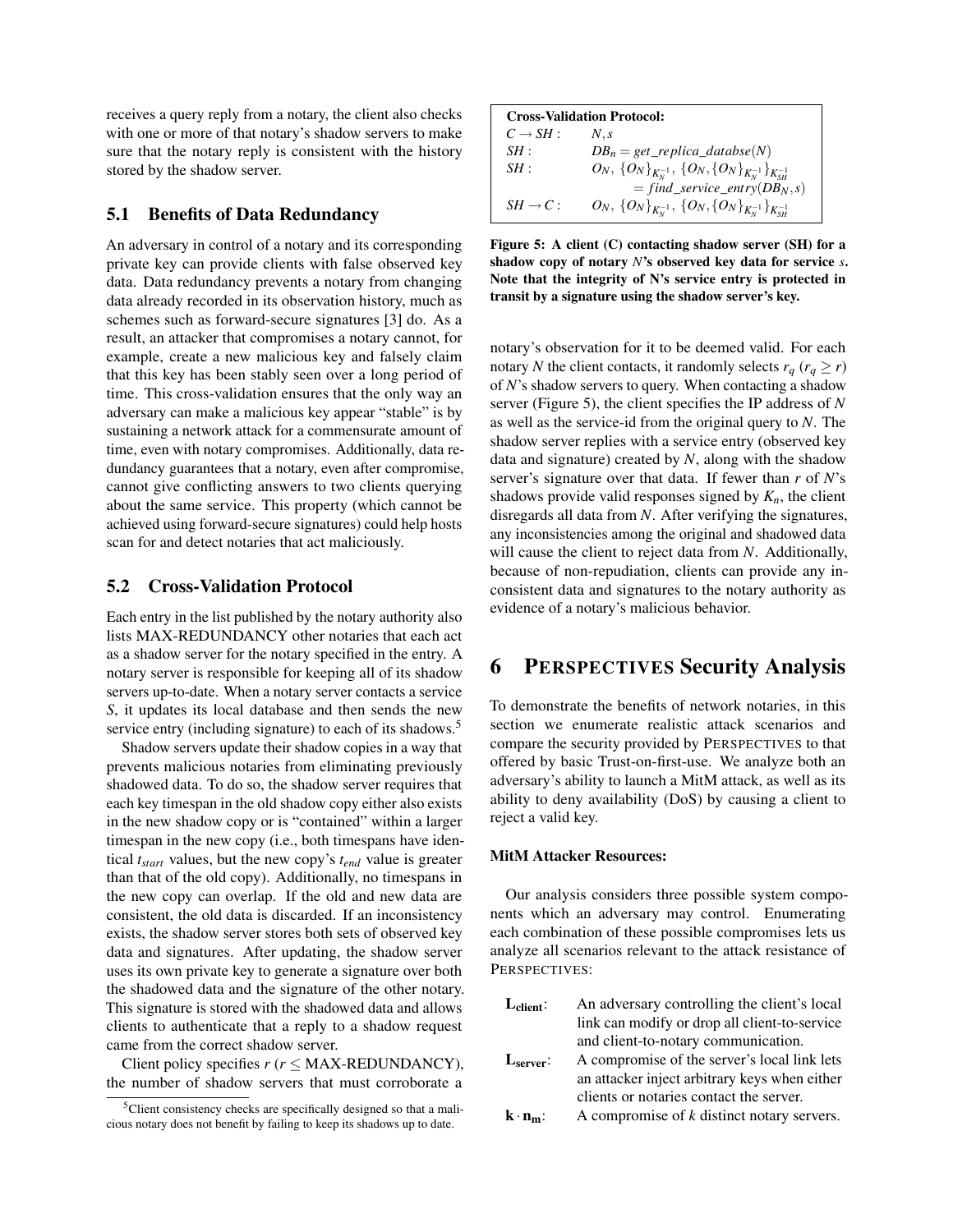receives a query reply from a notary, the client also checks with one or more of that notary's shadow servers to make sure that the notary reply is consistent with the history stored by the shadow server.

### 5.1 Benefits of Data Redundancy

An adversary in control of a notary and its corresponding private key can provide clients with false observed key data. Data redundancy prevents a notary from changing data already recorded in its observation history, much as schemes such as forward-secure signatures [[3](#page-13-12)] do. As a result, an attacker that compromises a notary cannot, for example, create a new malicious key and falsely claim that this key has been stably seen over a long period of time. This cross-validation ensures that the only way an adversary can make a malicious key appear "stable" is by sustaining a network attack for a commensurate amount of time, even with notary compromises. Additionally, data redundancy guarantees that a notary, even after compromise, cannot give conflicting answers to two clients querying about the same service. This property (which cannot be achieved using forward-secure signatures) could help hosts scan for and detect notaries that act maliciously.

### 5.2 Cross-Validation Protocol

Each entry in the list published by the notary authority also lists MAX-REDUNDANCY other notaries that each act as a shadow server for the notary specified in the entry. A notary server is responsible for keeping all of its shadow servers up-to-date. When a notary server contacts a service *S*, it updates its local database and then sends the new service entry (including signature) to each of its shadows.<sup>[5](#page-6-1)</sup>

Shadow servers update their shadow copies in a way that prevents malicious notaries from eliminating previously shadowed data. To do so, the shadow server requires that each key timespan in the old shadow copy either also exists in the new shadow copy or is "contained" within a larger timespan in the new copy (i.e., both timespans have identical *tstart* values, but the new copy's *tend* value is greater than that of the old copy). Additionally, no timespans in the new copy can overlap. If the old and new data are consistent, the old data is discarded. If an inconsistency exists, the shadow server stores both sets of observed key data and signatures. After updating, the shadow server uses its own private key to generate a signature over both the shadowed data and the signature of the other notary. This signature is stored with the shadowed data and allows clients to authenticate that a reply to a shadow request came from the correct shadow server.

Client policy specifies *r* (*r* ≤ MAX-REDUNDANCY), the number of shadow servers that must corroborate a

| <b>Cross-Validation Protocol:</b> |                                                                              |  |  |  |  |
|-----------------------------------|------------------------------------------------------------------------------|--|--|--|--|
| $C \rightarrow SH$ :              | $N_{\cdot}$ s                                                                |  |  |  |  |
| SH:                               | $DB_n = get\_replica\_database(N)$                                           |  |  |  |  |
| SH:                               | $O_N, \,\{O_N\}_{K_N^{-1}},\,\{O_N,\{O_N\}_{K_N^{-1}}\}_{K_{\rm cut}}$       |  |  |  |  |
|                                   | $= find\_service\_entry(DB_N, s)$                                            |  |  |  |  |
| $SH \rightarrow C$ :              | $O_N, \,\{O_N\}_{K_N^{-1}}, \,\{O_N,\{O_N\}_{K_N^{-1}}\}_{K_{\rm cut}^{-1}}$ |  |  |  |  |

<span id="page-6-2"></span>Figure 5: A client (C) contacting shadow server (SH) for a shadow copy of notary *N*'s observed key data for service *s*. Note that the integrity of N's service entry is protected in transit by a signature using the shadow server's key.

notary's observation for it to be deemed valid. For each notary *N* the client contacts, it randomly selects  $r_q$  ( $r_q \ge r$ ) of *N*'s shadow servers to query. When contacting a shadow server (Figure [5\)](#page-6-2), the client specifies the IP address of *N* as well as the service-id from the original query to *N*. The shadow server replies with a service entry (observed key data and signature) created by *N*, along with the shadow server's signature over that data. If fewer than *r* of *N*'s shadows provide valid responses signed by  $K_n$ , the client disregards all data from *N*. After verifying the signatures, any inconsistencies among the original and shadowed data will cause the client to reject data from *N*. Additionally, because of non-repudiation, clients can provide any inconsistent data and signatures to the notary authority as evidence of a notary's malicious behavior.

# <span id="page-6-0"></span>6 PERSPECTIVES Security Analysis

To demonstrate the benefits of network notaries, in this section we enumerate realistic attack scenarios and compare the security provided by PERSPECTIVES to that offered by basic Trust-on-first-use. We analyze both an adversary's ability to launch a MitM attack, as well as its ability to deny availability (DoS) by causing a client to reject a valid key.

### MitM Attacker Resources:

Our analysis considers three possible system components which an adversary may control. Enumerating each combination of these possible compromises lets us analyze all scenarios relevant to the attack resistance of PERSPECTIVES:

| $L_{\text{client}}$ : | An adversary controlling the client's local   |
|-----------------------|-----------------------------------------------|
|                       | link can modify or drop all client-to-service |
|                       | and client-to-notary communication.           |
| L <sub>server</sub> : | A compromise of the server's local link lets  |
|                       | an attacker inject arbitrary keys when either |

- an attacker inject arbitrary keys when either clients or notaries contact the server.
- $k \cdot n_m$ : A compromise of *k* distinct notary servers.

<span id="page-6-1"></span><sup>&</sup>lt;sup>5</sup>Client consistency checks are specifically designed so that a malicious notary does not benefit by failing to keep its shadows up to date.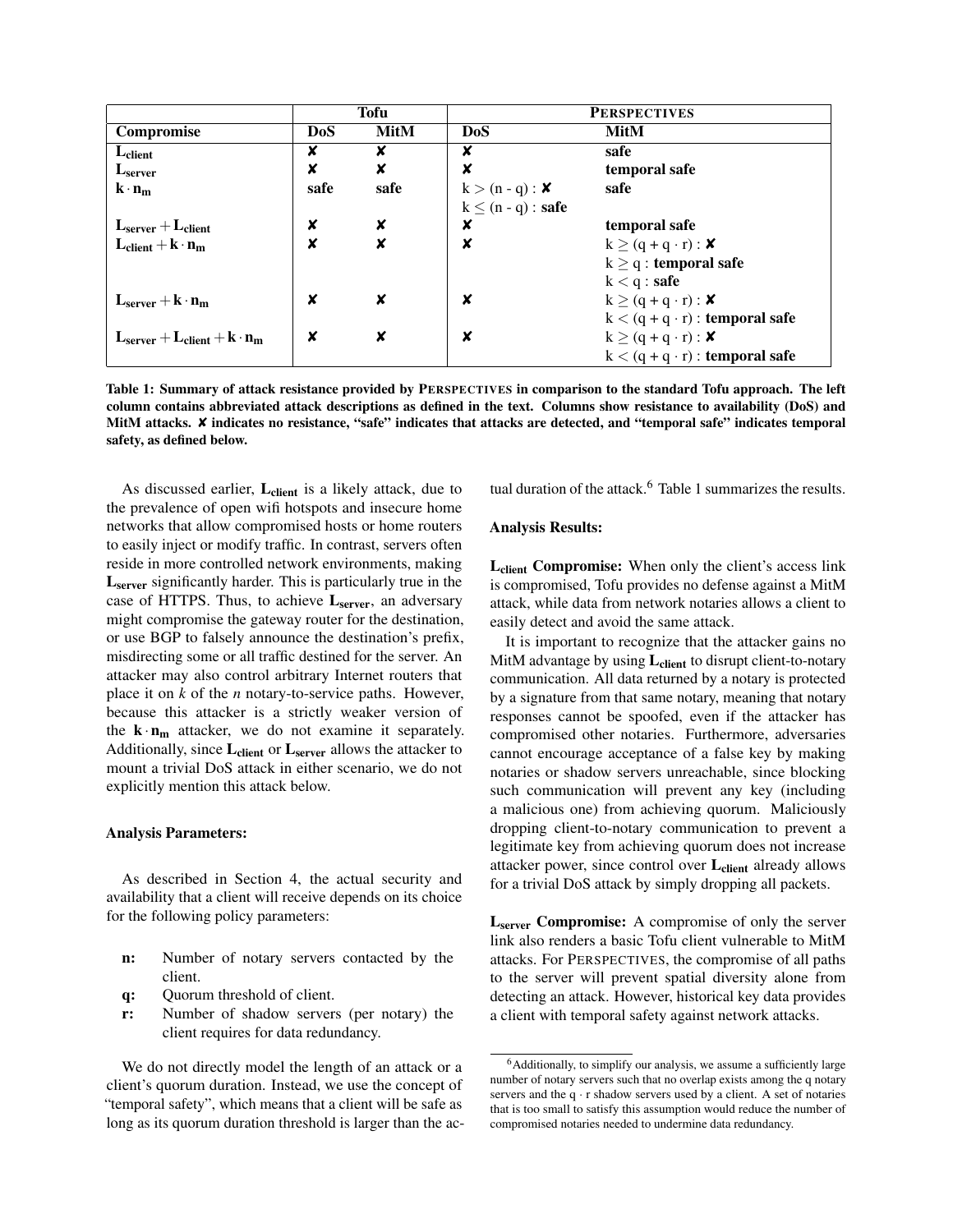|                                         | Tofu       |             | <b>PERSPECTIVES</b>     |                                       |
|-----------------------------------------|------------|-------------|-------------------------|---------------------------------------|
| <b>Compromise</b>                       | <b>DoS</b> | <b>MitM</b> | <b>DoS</b>              | <b>MitM</b>                           |
| $L_{client}$                            | X          | x           | x                       | safe                                  |
| L <sub>server</sub>                     | ×          | ×           | X                       | temporal safe                         |
| $\mathbf{k} \cdot \mathbf{n_m}$         | safe       | safe        | $k > (n - q)$ : X       | safe                                  |
|                                         |            |             | $k \leq (n - q)$ : safe |                                       |
| $Lserver + Lclient$                     | X          | x           | x                       | temporal safe                         |
| $L_{client} + k \cdot n_m$              | ×          | x           | ×                       | $k \ge (q + q \cdot r) : \mathbf{X}$  |
|                                         |            |             |                         | $k \geq q$ : temporal safe            |
|                                         |            |             |                         | $k < q :$ <b>safe</b>                 |
| $L_{server} + k \cdot n_m$              | x          | x           | X                       | $k \ge (q + q \cdot r)$ : X           |
|                                         |            |             |                         | $k < (q + q \cdot r)$ : temporal safe |
| $L_{server} + L_{client} + k \cdot n_m$ | x          | x           | x                       | $k \ge (q + q \cdot r) : \mathbf{X}$  |
|                                         |            |             |                         | $k < (q + q \cdot r)$ : temporal safe |

<span id="page-7-1"></span>Table 1: Summary of attack resistance provided by PERSPECTIVES in comparison to the standard Tofu approach. The left column contains abbreviated attack descriptions as defined in the text. Columns show resistance to availability (DoS) and MitM attacks. *X* indicates no resistance, "safe" indicates that attacks are detected, and "temporal safe" indicates temporal safety, as defined below.

As discussed earlier,  $L_{client}$  is a likely attack, due to the prevalence of open wifi hotspots and insecure home networks that allow compromised hosts or home routers to easily inject or modify traffic. In contrast, servers often reside in more controlled network environments, making L<sub>server</sub> significantly harder. This is particularly true in the case of HTTPS. Thus, to achieve  $L_{server}$ , an adversary might compromise the gateway router for the destination, or use BGP to falsely announce the destination's prefix, misdirecting some or all traffic destined for the server. An attacker may also control arbitrary Internet routers that place it on *k* of the *n* notary-to-service paths. However, because this attacker is a strictly weaker version of the  $\mathbf{k} \cdot \mathbf{n_m}$  attacker, we do not examine it separately. Additionally, since  $L_{client}$  or  $L_{server}$  allows the attacker to mount a trivial DoS attack in either scenario, we do not explicitly mention this attack below.

#### Analysis Parameters:

As described in Section [4,](#page-4-0) the actual security and availability that a client will receive depends on its choice for the following policy parameters:

- n: Number of notary servers contacted by the client.
- q: Quorum threshold of client.
- r: Number of shadow servers (per notary) the client requires for data redundancy.

We do not directly model the length of an attack or a client's quorum duration. Instead, we use the concept of "temporal safety", which means that a client will be safe as long as its quorum duration threshold is larger than the actual duration of the attack.<sup>[6](#page-7-0)</sup> Table [1](#page-7-1) summarizes the results.

#### Analysis Results:

L<sub>client</sub> Compromise: When only the client's access link is compromised, Tofu provides no defense against a MitM attack, while data from network notaries allows a client to easily detect and avoid the same attack.

It is important to recognize that the attacker gains no MitM advantage by using  $L_{client}$  to disrupt client-to-notary communication. All data returned by a notary is protected by a signature from that same notary, meaning that notary responses cannot be spoofed, even if the attacker has compromised other notaries. Furthermore, adversaries cannot encourage acceptance of a false key by making notaries or shadow servers unreachable, since blocking such communication will prevent any key (including a malicious one) from achieving quorum. Maliciously dropping client-to-notary communication to prevent a legitimate key from achieving quorum does not increase attacker power, since control over L<sub>client</sub> already allows for a trivial DoS attack by simply dropping all packets.

L<sub>server</sub> Compromise: A compromise of only the server link also renders a basic Tofu client vulnerable to MitM attacks. For PERSPECTIVES, the compromise of all paths to the server will prevent spatial diversity alone from detecting an attack. However, historical key data provides a client with temporal safety against network attacks.

<span id="page-7-0"></span><sup>&</sup>lt;sup>6</sup>Additionally, to simplify our analysis, we assume a sufficiently large number of notary servers such that no overlap exists among the q notary servers and the q  $\cdot$  r shadow servers used by a client. A set of notaries that is too small to satisfy this assumption would reduce the number of compromised notaries needed to undermine data redundancy.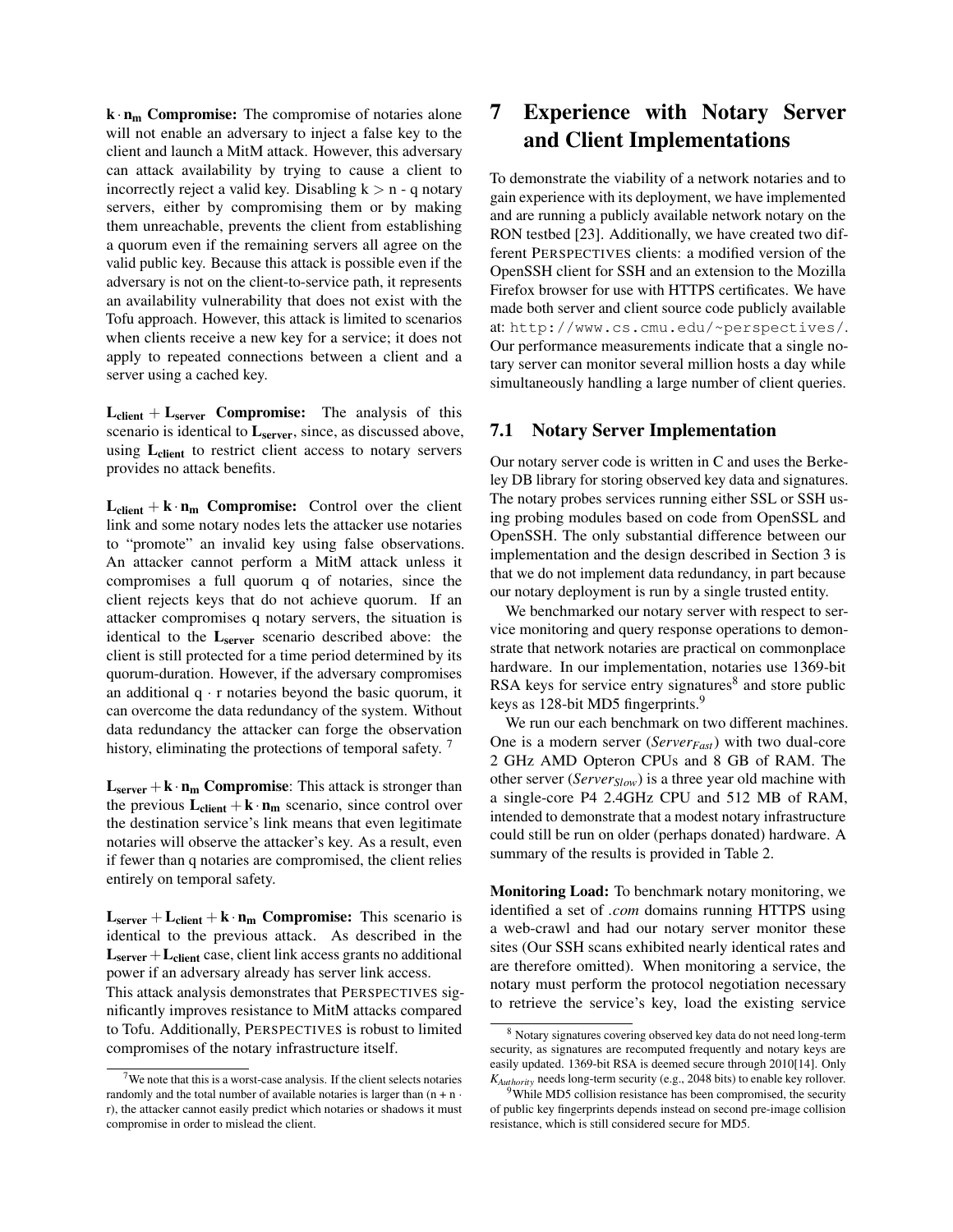$\mathbf{k} \cdot \mathbf{n_m}$  Compromise: The compromise of notaries alone will not enable an adversary to inject a false key to the client and launch a MitM attack. However, this adversary can attack availability by trying to cause a client to incorrectly reject a valid key. Disabling  $k > n - q$  notary servers, either by compromising them or by making them unreachable, prevents the client from establishing a quorum even if the remaining servers all agree on the valid public key. Because this attack is possible even if the adversary is not on the client-to-service path, it represents an availability vulnerability that does not exist with the Tofu approach. However, this attack is limited to scenarios when clients receive a new key for a service; it does not apply to repeated connections between a client and a server using a cached key.

 $L_{client} + L_{server}$  Compromise: The analysis of this scenario is identical to Lserver, since, as discussed above, using L<sub>client</sub> to restrict client access to notary servers provides no attack benefits.

 $L_{client} + k \cdot n_m$  Compromise: Control over the client link and some notary nodes lets the attacker use notaries to "promote" an invalid key using false observations. An attacker cannot perform a MitM attack unless it compromises a full quorum q of notaries, since the client rejects keys that do not achieve quorum. If an attacker compromises q notary servers, the situation is identical to the  $L_{\text{server}}$  scenario described above: the client is still protected for a time period determined by its quorum-duration. However, if the adversary compromises an additional  $q \cdot r$  notaries beyond the basic quorum, it can overcome the data redundancy of the system. Without data redundancy the attacker can forge the observation history, eliminating the protections of temporal safety.<sup>[7](#page-8-1)</sup>

 $L_{server} + k \cdot n_m$  Compromise: This attack is stronger than the previous  $L_{client} + k \cdot n_m$  scenario, since control over the destination service's link means that even legitimate notaries will observe the attacker's key. As a result, even if fewer than q notaries are compromised, the client relies entirely on temporal safety.

 $L_{server} + L_{client} + k \cdot n_m$  Compromise: This scenario is identical to the previous attack. As described in the  $L<sub>server</sub> + L<sub>client</sub> case, client link access grants no additional$ power if an adversary already has server link access.

This attack analysis demonstrates that PERSPECTIVES significantly improves resistance to MitM attacks compared to Tofu. Additionally, PERSPECTIVES is robust to limited compromises of the notary infrastructure itself.

# <span id="page-8-0"></span>7 Experience with Notary Server and Client Implementations

To demonstrate the viability of a network notaries and to gain experience with its deployment, we have implemented and are running a publicly available network notary on the RON testbed [[23](#page-13-13)]. Additionally, we have created two different PERSPECTIVES clients: a modified version of the OpenSSH client for SSH and an extension to the Mozilla Firefox browser for use with HTTPS certificates. We have made both server and client source code publicly available at: <http://www.cs.cmu.edu/~perspectives/>. Our performance measurements indicate that a single notary server can monitor several million hosts a day while simultaneously handling a large number of client queries.

### 7.1 Notary Server Implementation

Our notary server code is written in C and uses the Berkeley DB library for storing observed key data and signatures. The notary probes services running either SSL or SSH using probing modules based on code from OpenSSL and OpenSSH. The only substantial difference between our implementation and the design described in Section [3](#page-2-0) is that we do not implement data redundancy, in part because our notary deployment is run by a single trusted entity.

We benchmarked our notary server with respect to service monitoring and query response operations to demonstrate that network notaries are practical on commonplace hardware. In our implementation, notaries use 1369-bit RSA keys for service entry signatures<sup>[8](#page-8-2)</sup> and store public keys as 128-bit MD5 fingerprints.<sup>[9](#page-8-3)</sup>

We run our each benchmark on two different machines. One is a modern server (*ServerFast*) with two dual-core 2 GHz AMD Opteron CPUs and 8 GB of RAM. The other server (*ServerSlow*) is a three year old machine with a single-core P4 2.4GHz CPU and 512 MB of RAM, intended to demonstrate that a modest notary infrastructure could still be run on older (perhaps donated) hardware. A summary of the results is provided in Table [2.](#page-9-0)

Monitoring Load: To benchmark notary monitoring, we identified a set of *.com* domains running HTTPS using a web-crawl and had our notary server monitor these sites (Our SSH scans exhibited nearly identical rates and are therefore omitted). When monitoring a service, the notary must perform the protocol negotiation necessary to retrieve the service's key, load the existing service

<span id="page-8-1"></span> $7$ We note that this is a worst-case analysis. If the client selects notaries randomly and the total number of available notaries is larger than  $(n + n \cdot$ r), the attacker cannot easily predict which notaries or shadows it must compromise in order to mislead the client.

<span id="page-8-2"></span><sup>8</sup> Notary signatures covering observed key data do not need long-term security, as signatures are recomputed frequently and notary keys are easily updated. 1369-bit RSA is deemed secure through 2010[[14](#page-13-14)]. Only *KAuthority* needs long-term security (e.g., 2048 bits) to enable key rollover.

<span id="page-8-3"></span> $9$ While MD5 collision resistance has been compromised, the security of public key fingerprints depends instead on second pre-image collision resistance, which is still considered secure for MD5.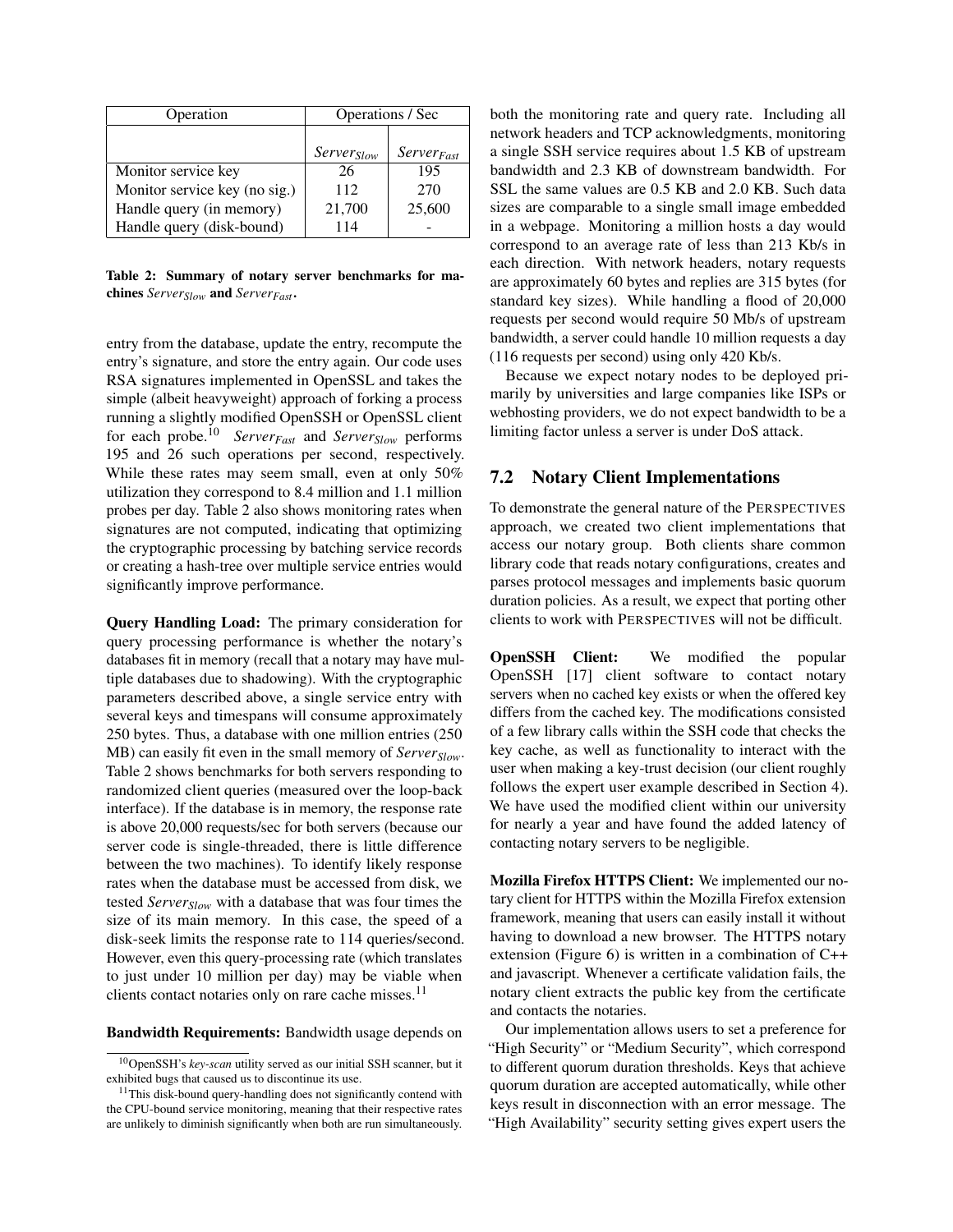| Operation                     | Operations / Sec       |                              |  |
|-------------------------------|------------------------|------------------------------|--|
|                               |                        |                              |  |
|                               | Server <sub>Slow</sub> | <i>Server<sub>Fast</sub></i> |  |
| Monitor service key           | 26                     | 195                          |  |
| Monitor service key (no sig.) | 112                    | 270                          |  |
| Handle query (in memory)      | 21,700                 | 25,600                       |  |
| Handle query (disk-bound)     | 114                    |                              |  |

<span id="page-9-0"></span>Table 2: Summary of notary server benchmarks for machines *ServerSlow* and *ServerFast* .

entry from the database, update the entry, recompute the entry's signature, and store the entry again. Our code uses RSA signatures implemented in OpenSSL and takes the simple (albeit heavyweight) approach of forking a process running a slightly modified OpenSSH or OpenSSL client for each probe.[10](#page-9-1) *ServerFast* and *ServerSlow* performs 195 and 26 such operations per second, respectively. While these rates may seem small, even at only 50% utilization they correspond to 8.4 million and 1.1 million probes per day. Table [2](#page-9-0) also shows monitoring rates when signatures are not computed, indicating that optimizing the cryptographic processing by batching service records or creating a hash-tree over multiple service entries would significantly improve performance.

Query Handling Load: The primary consideration for query processing performance is whether the notary's databases fit in memory (recall that a notary may have multiple databases due to shadowing). With the cryptographic parameters described above, a single service entry with several keys and timespans will consume approximately 250 bytes. Thus, a database with one million entries (250 MB) can easily fit even in the small memory of *ServerSlow*. Table [2](#page-9-0) shows benchmarks for both servers responding to randomized client queries (measured over the loop-back interface). If the database is in memory, the response rate is above 20,000 requests/sec for both servers (because our server code is single-threaded, there is little difference between the two machines). To identify likely response rates when the database must be accessed from disk, we tested *ServerSlow* with a database that was four times the size of its main memory. In this case, the speed of a disk-seek limits the response rate to 114 queries/second. However, even this query-processing rate (which translates to just under 10 million per day) may be viable when clients contact notaries only on rare cache misses.<sup>[11](#page-9-2)</sup>

Bandwidth Requirements: Bandwidth usage depends on

both the monitoring rate and query rate. Including all network headers and TCP acknowledgments, monitoring a single SSH service requires about 1.5 KB of upstream bandwidth and 2.3 KB of downstream bandwidth. For SSL the same values are 0.5 KB and 2.0 KB. Such data sizes are comparable to a single small image embedded in a webpage. Monitoring a million hosts a day would correspond to an average rate of less than 213 Kb/s in each direction. With network headers, notary requests are approximately 60 bytes and replies are 315 bytes (for standard key sizes). While handling a flood of 20,000 requests per second would require 50 Mb/s of upstream bandwidth, a server could handle 10 million requests a day (116 requests per second) using only 420 Kb/s.

Because we expect notary nodes to be deployed primarily by universities and large companies like ISPs or webhosting providers, we do not expect bandwidth to be a limiting factor unless a server is under DoS attack.

### 7.2 Notary Client Implementations

To demonstrate the general nature of the PERSPECTIVES approach, we created two client implementations that access our notary group. Both clients share common library code that reads notary configurations, creates and parses protocol messages and implements basic quorum duration policies. As a result, we expect that porting other clients to work with PERSPECTIVES will not be difficult.

OpenSSH Client: We modified the popular OpenSSH [[17](#page-13-15)] client software to contact notary servers when no cached key exists or when the offered key differs from the cached key. The modifications consisted of a few library calls within the SSH code that checks the key cache, as well as functionality to interact with the user when making a key-trust decision (our client roughly follows the expert user example described in Section [4\)](#page-4-0). We have used the modified client within our university for nearly a year and have found the added latency of contacting notary servers to be negligible.

Mozilla Firefox HTTPS Client: We implemented our notary client for HTTPS within the Mozilla Firefox extension framework, meaning that users can easily install it without having to download a new browser. The HTTPS notary extension (Figure [6\)](#page-10-1) is written in a combination of C++ and javascript. Whenever a certificate validation fails, the notary client extracts the public key from the certificate and contacts the notaries.

Our implementation allows users to set a preference for "High Security" or "Medium Security", which correspond to different quorum duration thresholds. Keys that achieve quorum duration are accepted automatically, while other keys result in disconnection with an error message. The "High Availability" security setting gives expert users the

<span id="page-9-1"></span><sup>10</sup>OpenSSH's *key-scan* utility served as our initial SSH scanner, but it exhibited bugs that caused us to discontinue its use.

<span id="page-9-2"></span><sup>&</sup>lt;sup>11</sup>This disk-bound query-handling does not significantly contend with the CPU-bound service monitoring, meaning that their respective rates are unlikely to diminish significantly when both are run simultaneously.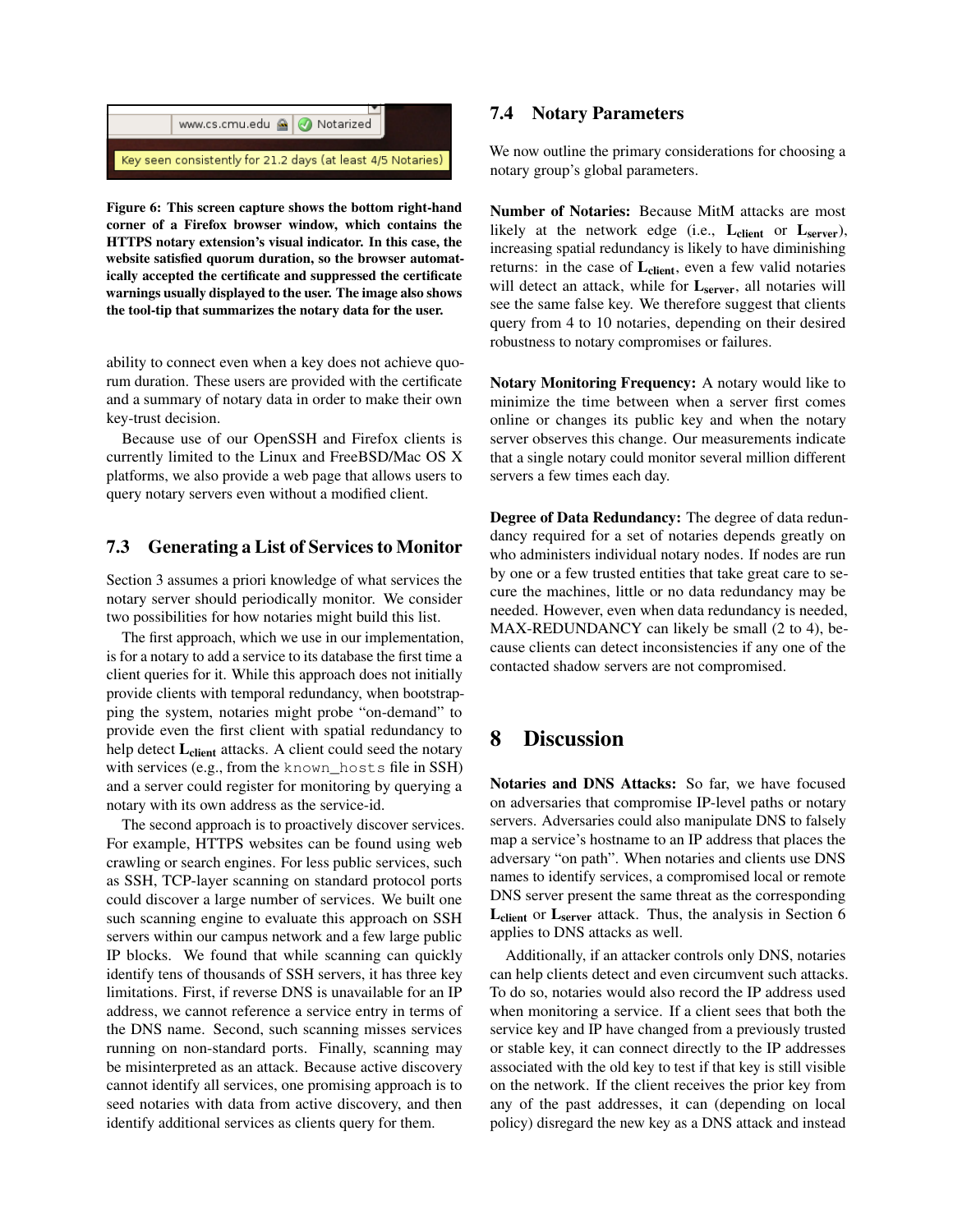

<span id="page-10-1"></span>Figure 6: This screen capture shows the bottom right-hand corner of a Firefox browser window, which contains the HTTPS notary extension's visual indicator. In this case, the website satisfied quorum duration, so the browser automatically accepted the certificate and suppressed the certificate warnings usually displayed to the user. The image also shows the tool-tip that summarizes the notary data for the user.

ability to connect even when a key does not achieve quorum duration. These users are provided with the certificate and a summary of notary data in order to make their own key-trust decision.

Because use of our OpenSSH and Firefox clients is currently limited to the Linux and FreeBSD/Mac OS X platforms, we also provide a web page that allows users to query notary servers even without a modified client.

# 7.3 Generating a List of Services to Monitor

Section [3](#page-2-0) assumes a priori knowledge of what services the notary server should periodically monitor. We consider two possibilities for how notaries might build this list.

The first approach, which we use in our implementation, is for a notary to add a service to its database the first time a client queries for it. While this approach does not initially provide clients with temporal redundancy, when bootstrapping the system, notaries might probe "on-demand" to provide even the first client with spatial redundancy to help detect L<sub>client</sub> attacks. A client could seed the notary with services (e.g., from the known\_hosts file in SSH) and a server could register for monitoring by querying a notary with its own address as the service-id.

The second approach is to proactively discover services. For example, HTTPS websites can be found using web crawling or search engines. For less public services, such as SSH, TCP-layer scanning on standard protocol ports could discover a large number of services. We built one such scanning engine to evaluate this approach on SSH servers within our campus network and a few large public IP blocks. We found that while scanning can quickly identify tens of thousands of SSH servers, it has three key limitations. First, if reverse DNS is unavailable for an IP address, we cannot reference a service entry in terms of the DNS name. Second, such scanning misses services running on non-standard ports. Finally, scanning may be misinterpreted as an attack. Because active discovery cannot identify all services, one promising approach is to seed notaries with data from active discovery, and then identify additional services as clients query for them.

# 7.4 Notary Parameters

We now outline the primary considerations for choosing a notary group's global parameters.

Number of Notaries: Because MitM attacks are most likely at the network edge (i.e.,  $L_{client}$  or  $L_{server}$ ), increasing spatial redundancy is likely to have diminishing returns: in the case of L<sub>client</sub>, even a few valid notaries will detect an attack, while for Lserver, all notaries will see the same false key. We therefore suggest that clients query from 4 to 10 notaries, depending on their desired robustness to notary compromises or failures.

Notary Monitoring Frequency: A notary would like to minimize the time between when a server first comes online or changes its public key and when the notary server observes this change. Our measurements indicate that a single notary could monitor several million different servers a few times each day.

Degree of Data Redundancy: The degree of data redundancy required for a set of notaries depends greatly on who administers individual notary nodes. If nodes are run by one or a few trusted entities that take great care to secure the machines, little or no data redundancy may be needed. However, even when data redundancy is needed, MAX-REDUNDANCY can likely be small (2 to 4), because clients can detect inconsistencies if any one of the contacted shadow servers are not compromised.

# <span id="page-10-0"></span>8 Discussion

Notaries and DNS Attacks: So far, we have focused on adversaries that compromise IP-level paths or notary servers. Adversaries could also manipulate DNS to falsely map a service's hostname to an IP address that places the adversary "on path". When notaries and clients use DNS names to identify services, a compromised local or remote DNS server present the same threat as the corresponding  $L_{\text{client}}$  or  $L_{\text{server}}$  attack. Thus, the analysis in Section [6](#page-6-0) applies to DNS attacks as well.

Additionally, if an attacker controls only DNS, notaries can help clients detect and even circumvent such attacks. To do so, notaries would also record the IP address used when monitoring a service. If a client sees that both the service key and IP have changed from a previously trusted or stable key, it can connect directly to the IP addresses associated with the old key to test if that key is still visible on the network. If the client receives the prior key from any of the past addresses, it can (depending on local policy) disregard the new key as a DNS attack and instead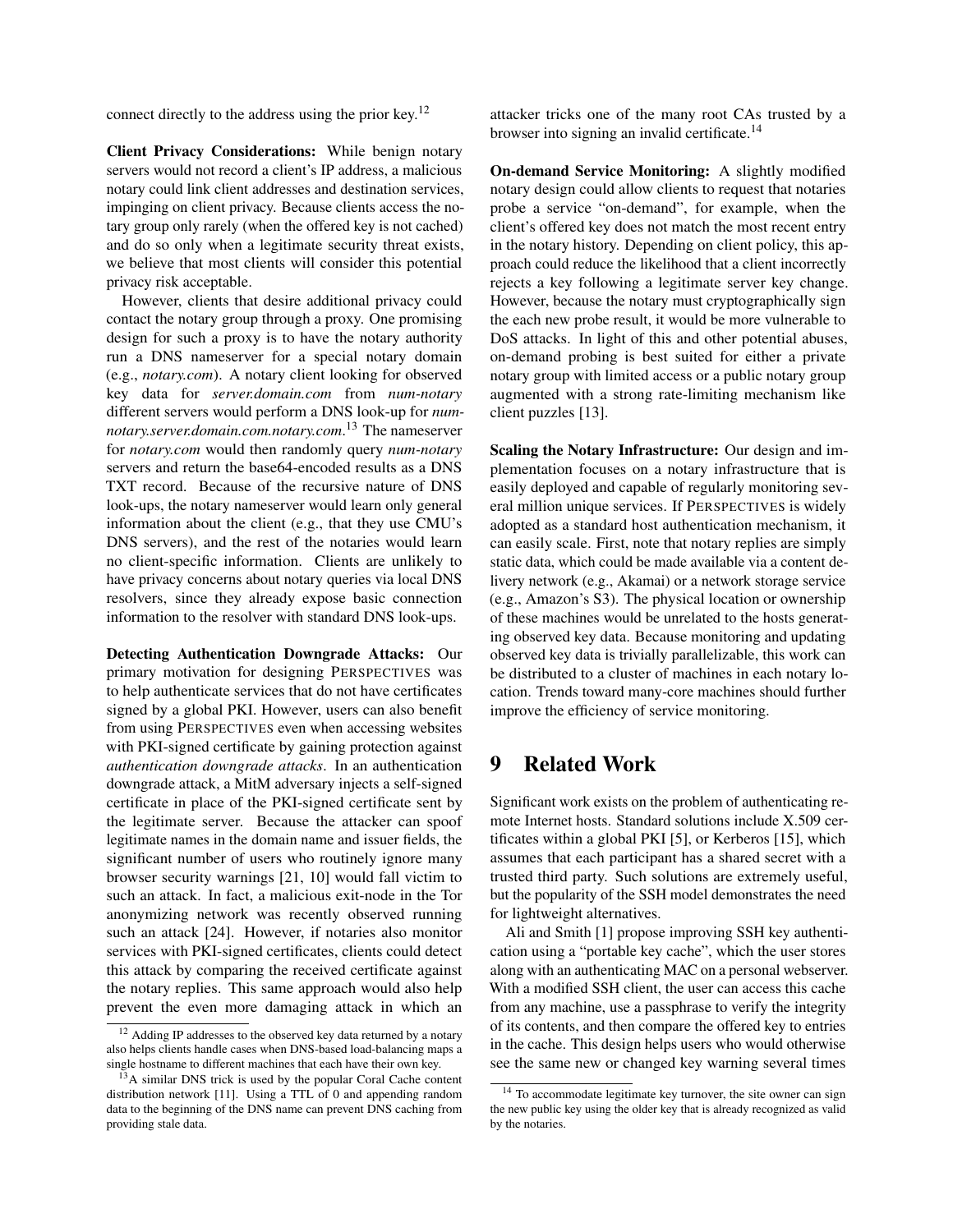connect directly to the address using the prior key.[12](#page-11-0)

Client Privacy Considerations: While benign notary servers would not record a client's IP address, a malicious notary could link client addresses and destination services, impinging on client privacy. Because clients access the notary group only rarely (when the offered key is not cached) and do so only when a legitimate security threat exists, we believe that most clients will consider this potential privacy risk acceptable.

However, clients that desire additional privacy could contact the notary group through a proxy. One promising design for such a proxy is to have the notary authority run a DNS nameserver for a special notary domain (e.g., *notary.com*). A notary client looking for observed key data for *server.domain.com* from *num-notary* different servers would perform a DNS look-up for *numnotary.server.domain.com.notary.com*. [13](#page-11-1) The nameserver for *notary.com* would then randomly query *num-notary* servers and return the base64-encoded results as a DNS TXT record. Because of the recursive nature of DNS look-ups, the notary nameserver would learn only general information about the client (e.g., that they use CMU's DNS servers), and the rest of the notaries would learn no client-specific information. Clients are unlikely to have privacy concerns about notary queries via local DNS resolvers, since they already expose basic connection information to the resolver with standard DNS look-ups.

Detecting Authentication Downgrade Attacks: Our primary motivation for designing PERSPECTIVES was to help authenticate services that do not have certificates signed by a global PKI. However, users can also benefit from using PERSPECTIVES even when accessing websites with PKI-signed certificate by gaining protection against *authentication downgrade attacks*. In an authentication downgrade attack, a MitM adversary injects a self-signed certificate in place of the PKI-signed certificate sent by the legitimate server. Because the attacker can spoof legitimate names in the domain name and issuer fields, the significant number of users who routinely ignore many browser security warnings [[21](#page-13-5), [10](#page-13-6)] would fall victim to such an attack. In fact, a malicious exit-node in the Tor anonymizing network was recently observed running such an attack [[24](#page-13-16)]. However, if notaries also monitor services with PKI-signed certificates, clients could detect this attack by comparing the received certificate against the notary replies. This same approach would also help prevent the even more damaging attack in which an attacker tricks one of the many root CAs trusted by a browser into signing an invalid certificate.<sup>[14](#page-11-2)</sup>

On-demand Service Monitoring: A slightly modified notary design could allow clients to request that notaries probe a service "on-demand", for example, when the client's offered key does not match the most recent entry in the notary history. Depending on client policy, this approach could reduce the likelihood that a client incorrectly rejects a key following a legitimate server key change. However, because the notary must cryptographically sign the each new probe result, it would be more vulnerable to DoS attacks. In light of this and other potential abuses, on-demand probing is best suited for either a private notary group with limited access or a public notary group augmented with a strong rate-limiting mechanism like client puzzles [\[13\]](#page-13-18).

Scaling the Notary Infrastructure: Our design and implementation focuses on a notary infrastructure that is easily deployed and capable of regularly monitoring several million unique services. If PERSPECTIVES is widely adopted as a standard host authentication mechanism, it can easily scale. First, note that notary replies are simply static data, which could be made available via a content delivery network (e.g., Akamai) or a network storage service (e.g., Amazon's S3). The physical location or ownership of these machines would be unrelated to the hosts generating observed key data. Because monitoring and updating observed key data is trivially parallelizable, this work can be distributed to a cluster of machines in each notary location. Trends toward many-core machines should further improve the efficiency of service monitoring.

# 9 Related Work

Significant work exists on the problem of authenticating remote Internet hosts. Standard solutions include X.509 certificates within a global PKI [[5](#page-13-4)], or Kerberos [[15](#page-13-19)], which assumes that each participant has a shared secret with a trusted third party. Such solutions are extremely useful, but the popularity of the SSH model demonstrates the need for lightweight alternatives.

Ali and Smith [[1](#page-13-20)] propose improving SSH key authentication using a "portable key cache", which the user stores along with an authenticating MAC on a personal webserver. With a modified SSH client, the user can access this cache from any machine, use a passphrase to verify the integrity of its contents, and then compare the offered key to entries in the cache. This design helps users who would otherwise see the same new or changed key warning several times

<span id="page-11-0"></span><sup>&</sup>lt;sup>12</sup> Adding IP addresses to the observed key data returned by a notary also helps clients handle cases when DNS-based load-balancing maps a single hostname to different machines that each have their own key.

<span id="page-11-1"></span><sup>&</sup>lt;sup>13</sup>A similar DNS trick is used by the popular Coral Cache content distribution network [[11](#page-13-17)]. Using a TTL of 0 and appending random data to the beginning of the DNS name can prevent DNS caching from providing stale data.

<span id="page-11-2"></span><sup>&</sup>lt;sup>14</sup> To accommodate legitimate key turnover, the site owner can sign the new public key using the older key that is already recognized as valid by the notaries.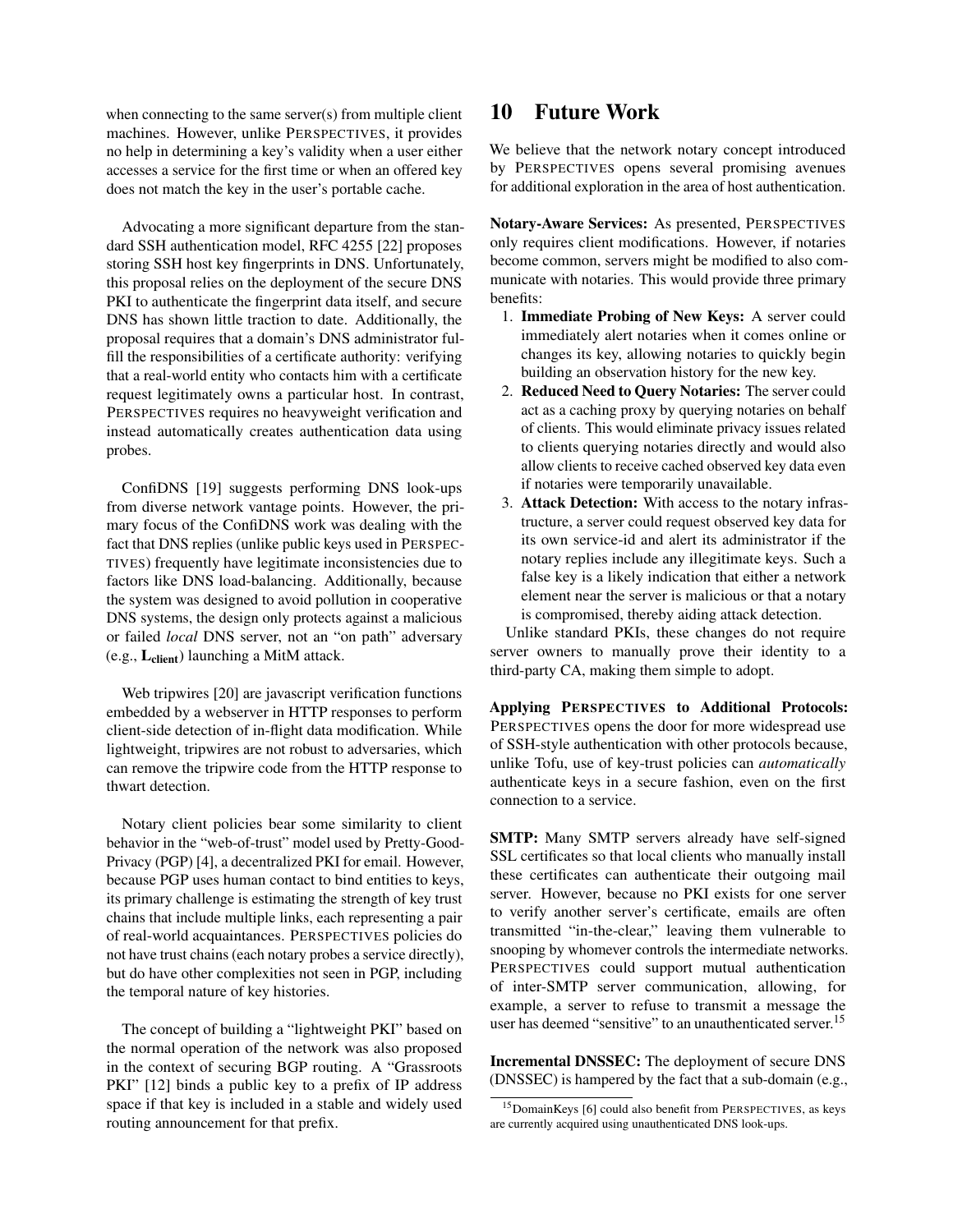when connecting to the same server(s) from multiple client machines. However, unlike PERSPECTIVES, it provides no help in determining a key's validity when a user either accesses a service for the first time or when an offered key does not match the key in the user's portable cache.

Advocating a more significant departure from the standard SSH authentication model, RFC 4255 [[22](#page-13-21)] proposes storing SSH host key fingerprints in DNS. Unfortunately, this proposal relies on the deployment of the secure DNS PKI to authenticate the fingerprint data itself, and secure DNS has shown little traction to date. Additionally, the proposal requires that a domain's DNS administrator fulfill the responsibilities of a certificate authority: verifying that a real-world entity who contacts him with a certificate request legitimately owns a particular host. In contrast, PERSPECTIVES requires no heavyweight verification and instead automatically creates authentication data using probes.

ConfiDNS [[19](#page-13-22)] suggests performing DNS look-ups from diverse network vantage points. However, the primary focus of the ConfiDNS work was dealing with the fact that DNS replies (unlike public keys used in PERSPEC-TIVES) frequently have legitimate inconsistencies due to factors like DNS load-balancing. Additionally, because the system was designed to avoid pollution in cooperative DNS systems, the design only protects against a malicious or failed *local* DNS server, not an "on path" adversary  $(e.g., L<sub>client</sub>)$  launching a MitM attack.

Web tripwires [[20](#page-13-2)] are javascript verification functions embedded by a webserver in HTTP responses to perform client-side detection of in-flight data modification. While lightweight, tripwires are not robust to adversaries, which can remove the tripwire code from the HTTP response to thwart detection.

Notary client policies bear some similarity to client behavior in the "web-of-trust" model used by Pretty-Good-Privacy (PGP) [[4](#page-13-23)], a decentralized PKI for email. However, because PGP uses human contact to bind entities to keys, its primary challenge is estimating the strength of key trust chains that include multiple links, each representing a pair of real-world acquaintances. PERSPECTIVES policies do not have trust chains (each notary probes a service directly), but do have other complexities not seen in PGP, including the temporal nature of key histories.

The concept of building a "lightweight PKI" based on the normal operation of the network was also proposed in the context of securing BGP routing. A "Grassroots PKI" [[12](#page-13-24)] binds a public key to a prefix of IP address space if that key is included in a stable and widely used routing announcement for that prefix.

# 10 Future Work

We believe that the network notary concept introduced by PERSPECTIVES opens several promising avenues for additional exploration in the area of host authentication.

Notary-Aware Services: As presented, PERSPECTIVES only requires client modifications. However, if notaries become common, servers might be modified to also communicate with notaries. This would provide three primary benefits:

- 1. Immediate Probing of New Keys: A server could immediately alert notaries when it comes online or changes its key, allowing notaries to quickly begin building an observation history for the new key.
- 2. Reduced Need to Query Notaries: The server could act as a caching proxy by querying notaries on behalf of clients. This would eliminate privacy issues related to clients querying notaries directly and would also allow clients to receive cached observed key data even if notaries were temporarily unavailable.
- 3. Attack Detection: With access to the notary infrastructure, a server could request observed key data for its own service-id and alert its administrator if the notary replies include any illegitimate keys. Such a false key is a likely indication that either a network element near the server is malicious or that a notary is compromised, thereby aiding attack detection.

Unlike standard PKIs, these changes do not require server owners to manually prove their identity to a third-party CA, making them simple to adopt.

Applying PERSPECTIVES to Additional Protocols: PERSPECTIVES opens the door for more widespread use of SSH-style authentication with other protocols because, unlike Tofu, use of key-trust policies can *automatically* authenticate keys in a secure fashion, even on the first connection to a service.

SMTP: Many SMTP servers already have self-signed SSL certificates so that local clients who manually install these certificates can authenticate their outgoing mail server. However, because no PKI exists for one server to verify another server's certificate, emails are often transmitted "in-the-clear," leaving them vulnerable to snooping by whomever controls the intermediate networks. PERSPECTIVES could support mutual authentication of inter-SMTP server communication, allowing, for example, a server to refuse to transmit a message the user has deemed "sensitive" to an unauthenticated server.<sup>[15](#page-12-0)</sup>

Incremental DNSSEC: The deployment of secure DNS (DNSSEC) is hampered by the fact that a sub-domain (e.g.,

<span id="page-12-0"></span><sup>&</sup>lt;sup>15</sup>DomainKeys [[6](#page-13-25)] could also benefit from PERSPECTIVES, as keys are currently acquired using unauthenticated DNS look-ups.